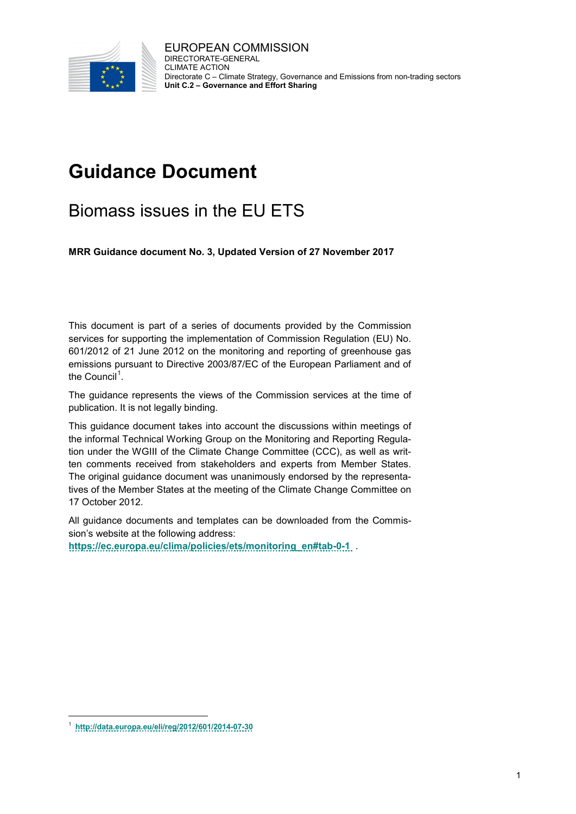

# **Guidance Document**

# Biomass issues in the EU ETS

**MRR Guidance document No. 3, Updated Version of 27 November 2017**

This document is part of a series of documents provided by the Commission services for supporting the implementation of Commission Regulation (EU) No. 601/2012 of 21 June 2012 on the monitoring and reporting of greenhouse gas emissions pursuant to Directive 2003/87/EC of the European Parliament and of the Council<sup>[1](#page-0-0)</sup>.

The guidance represents the views of the Commission services at the time of publication. It is not legally binding.

This guidance document takes into account the discussions within meetings of the informal Technical Working Group on the Monitoring and Reporting Regulation under the WGIII of the Climate Change Committee (CCC), as well as written comments received from stakeholders and experts from Member States. The original guidance document was unanimously endorsed by the representatives of the Member States at the meeting of the Climate Change Committee on 17 October 2012.

All guidance documents and templates can be downloaded from the Commission's website at the following address:

**[https://ec.europa.eu/clima/policies/ets/monitoring\\_en#tab-0-1](https://ec.europa.eu/clima/policies/ets/monitoring_en#tab-0-1%20)** .

<span id="page-0-0"></span> <sup>1</sup> **<http://data.europa.eu/eli/reg/2012/601/2014-07-30>**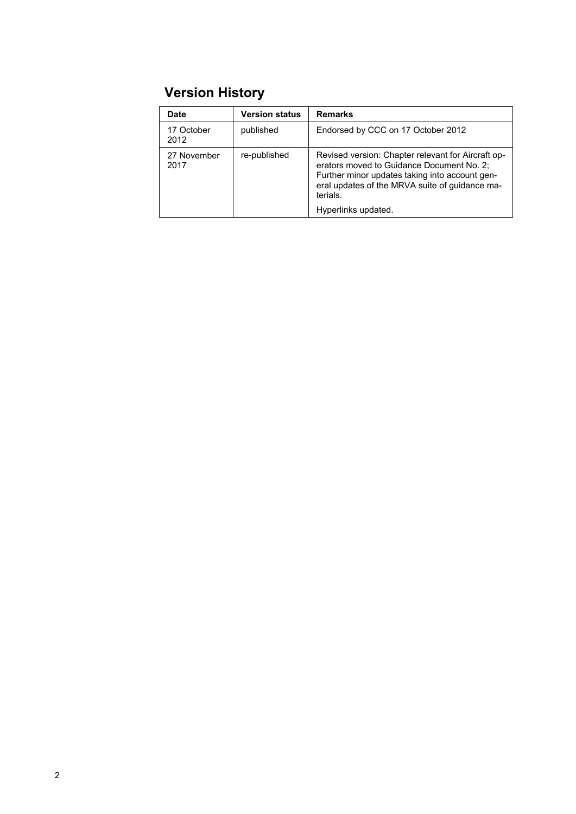# **Version History**

| Date                | <b>Version status</b> | <b>Remarks</b>                                                                                                                                                                                                                         |
|---------------------|-----------------------|----------------------------------------------------------------------------------------------------------------------------------------------------------------------------------------------------------------------------------------|
| 17 October<br>2012  | published             | Endorsed by CCC on 17 October 2012                                                                                                                                                                                                     |
| 27 November<br>2017 | re-published          | Revised version: Chapter relevant for Aircraft op-<br>erators moved to Guidance Document No. 2;<br>Further minor updates taking into account gen-<br>eral updates of the MRVA suite of guidance ma-<br>terials.<br>Hyperlinks updated. |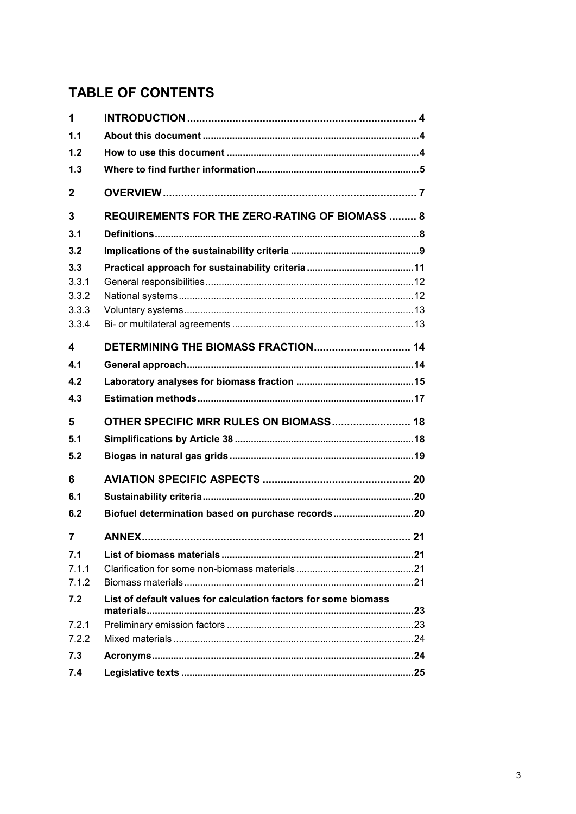# **TABLE OF CONTENTS**

| 1                              |                                                                 |
|--------------------------------|-----------------------------------------------------------------|
| 1.1                            |                                                                 |
| 1.2                            |                                                                 |
| 1.3                            |                                                                 |
| $\mathbf{2}$                   |                                                                 |
| 3                              | <b>REQUIREMENTS FOR THE ZERO-RATING OF BIOMASS  8</b>           |
| 3.1                            |                                                                 |
| 3.2                            |                                                                 |
| 3.3<br>3.3.1<br>3.3.2<br>3.3.3 |                                                                 |
| 3.3.4                          |                                                                 |
| 4                              |                                                                 |
| 4.1                            |                                                                 |
| 4.2                            |                                                                 |
|                                |                                                                 |
| 4.3                            |                                                                 |
| 5                              |                                                                 |
| 5.1                            |                                                                 |
| 5.2                            |                                                                 |
| 6                              |                                                                 |
| 6.1                            |                                                                 |
| 6.2                            | Biofuel determination based on purchase records20               |
| 7                              |                                                                 |
| 7.1<br>7.1.1<br>7.1.2          |                                                                 |
| 7.2                            | List of default values for calculation factors for some biomass |
| 7.2.1                          |                                                                 |
| 7.2.2                          |                                                                 |
| 7.3                            |                                                                 |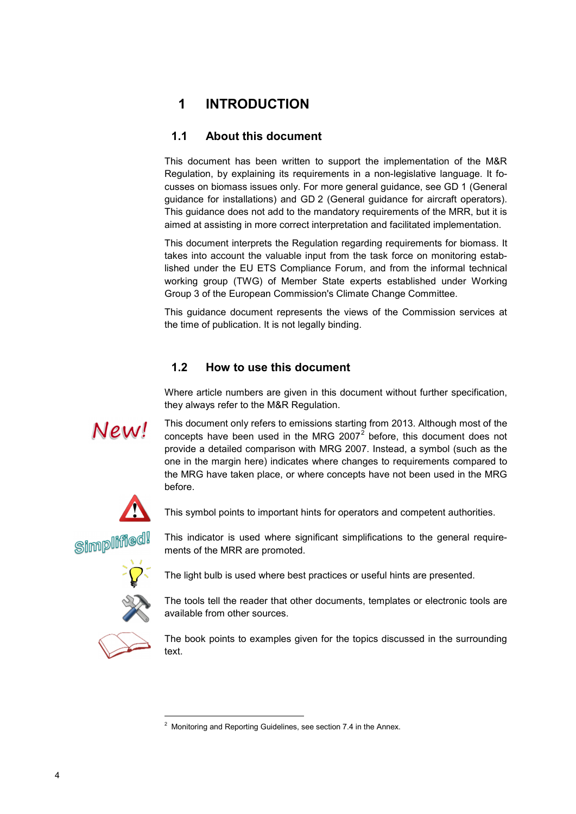# <span id="page-3-0"></span>**1 INTRODUCTION**

## <span id="page-3-1"></span>**1.1 About this document**

This document has been written to support the implementation of the M&R Regulation, by explaining its requirements in a non-legislative language. It focusses on biomass issues only. For more general guidance, see GD 1 (General guidance for installations) and GD 2 (General guidance for aircraft operators). This guidance does not add to the mandatory requirements of the MRR, but it is aimed at assisting in more correct interpretation and facilitated implementation.

This document interprets the Regulation regarding requirements for biomass. It takes into account the valuable input from the task force on monitoring established under the EU ETS Compliance Forum, and from the informal technical working group (TWG) of Member State experts established under Working Group 3 of the European Commission's Climate Change Committee.

This guidance document represents the views of the Commission services at the time of publication. It is not legally binding.

#### <span id="page-3-2"></span>**1.2 How to use this document**

Where article numbers are given in this document without further specification, they always refer to the M&R Regulation.

# New!

This document only refers to emissions starting from 2013. Although most of the concepts have been used in the MRG [2](#page-3-3)007 $^2$  before, this document does not provide a detailed comparison with MRG 2007. Instead, a symbol (such as the one in the margin here) indicates where changes to requirements compared to the MRG have taken place, or where concepts have not been used in the MRG before.



This symbol points to important hints for operators and competent authorities.



This indicator is used where significant simplifications to the general requirements of the MRR are promoted.



The light bulb is used where best practices or useful hints are presented.

The tools tell the reader that other documents, templates or electronic tools are available from other sources.

<span id="page-3-3"></span>

j

The book points to examples given for the topics discussed in the surrounding text.

 $2$  Monitoring and Reporting Guidelines, see sectio[n 7.4](#page-23-2) in the Annex.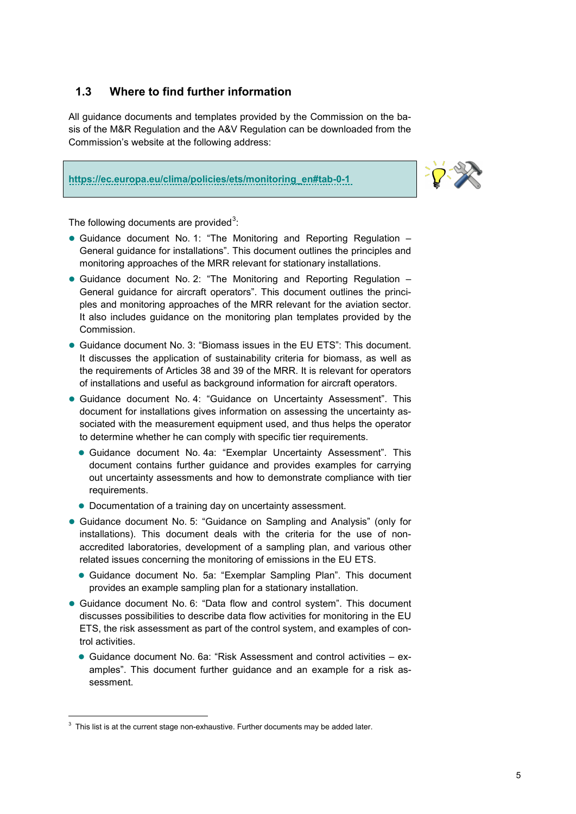## <span id="page-4-0"></span>**1.3 Where to find further information**

All guidance documents and templates provided by the Commission on the basis of the M&R Regulation and the A&V Regulation can be downloaded from the Commission's website at the following address:

#### **[https://ec.europa.eu/clima/policies/ets/monitoring\\_en#tab-0-1](https://ec.europa.eu/clima/policies/ets/monitoring_en#tab-0-1%20)**



The following documents are provided<sup>[3](#page-4-1)</sup>:

- Guidance document No. 1: "The Monitoring and Reporting Regulation General guidance for installations". This document outlines the principles and monitoring approaches of the MRR relevant for stationary installations.
- Guidance document No. 2: "The Monitoring and Reporting Regulation General guidance for aircraft operators". This document outlines the principles and monitoring approaches of the MRR relevant for the aviation sector. It also includes guidance on the monitoring plan templates provided by the Commission.
- Guidance document No. 3: "Biomass issues in the EU ETS": This document. It discusses the application of sustainability criteria for biomass, as well as the requirements of Articles 38 and 39 of the MRR. It is relevant for operators of installations and useful as background information for aircraft operators.
- Guidance document No. 4: "Guidance on Uncertainty Assessment". This document for installations gives information on assessing the uncertainty associated with the measurement equipment used, and thus helps the operator to determine whether he can comply with specific tier requirements.
	- Guidance document No. 4a: "Exemplar Uncertainty Assessment". This document contains further guidance and provides examples for carrying out uncertainty assessments and how to demonstrate compliance with tier requirements.
	- Documentation of a training day on uncertainty assessment.
- Guidance document No. 5: "Guidance on Sampling and Analysis" (only for installations). This document deals with the criteria for the use of nonaccredited laboratories, development of a sampling plan, and various other related issues concerning the monitoring of emissions in the EU ETS.
	- Guidance document No. 5a: "Exemplar Sampling Plan". This document provides an example sampling plan for a stationary installation.
- Guidance document No. 6: "Data flow and control system". This document discusses possibilities to describe data flow activities for monitoring in the EU ETS, the risk assessment as part of the control system, and examples of control activities.
	- Guidance document No. 6a: "Risk Assessment and control activities examples". This document further guidance and an example for a risk assessment.

-

<span id="page-4-1"></span> $3$  This list is at the current stage non-exhaustive. Further documents may be added later.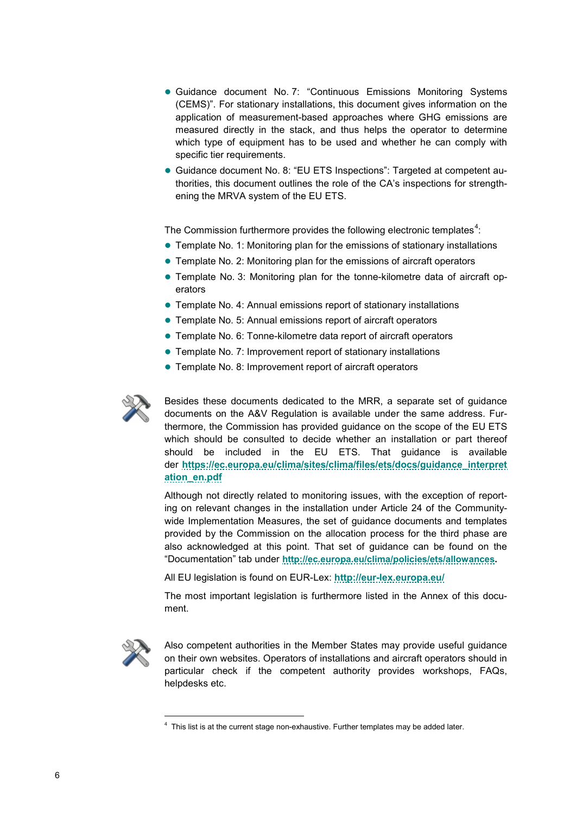- Guidance document No. 7: "Continuous Emissions Monitoring Systems (CEMS)". For stationary installations, this document gives information on the application of measurement-based approaches where GHG emissions are measured directly in the stack, and thus helps the operator to determine which type of equipment has to be used and whether he can comply with specific tier requirements.
- Guidance document No. 8: "EU ETS Inspections": Targeted at competent authorities, this document outlines the role of the CA's inspections for strengthening the MRVA system of the EU ETS.

The Commission furthermore provides the following electronic templates<sup>[4](#page-5-0)</sup>:

- Template No. 1: Monitoring plan for the emissions of stationary installations
- Template No. 2: Monitoring plan for the emissions of aircraft operators
- Template No. 3: Monitoring plan for the tonne-kilometre data of aircraft operators
- Template No. 4: Annual emissions report of stationary installations
- Template No. 5: Annual emissions report of aircraft operators
- Template No. 6: Tonne-kilometre data report of aircraft operators
- Template No. 7: Improvement report of stationary installations
- **Template No. 8: Improvement report of aircraft operators**



Besides these documents dedicated to the MRR, a separate set of guidance documents on the A&V Regulation is available under the same address. Furthermore, the Commission has provided guidance on the scope of the EU ETS which should be consulted to decide whether an installation or part thereof should be included in the EU ETS. That guidance is available der **[https://ec.europa.eu/clima/sites/clima/files/ets/docs/guidance\\_interpret](https://ec.europa.eu/clima/sites/clima/files/ets/docs/guidance_interpretation_en.pdf) [ation\\_en.pdf](https://ec.europa.eu/clima/sites/clima/files/ets/docs/guidance_interpretation_en.pdf)**

Although not directly related to monitoring issues, with the exception of reporting on relevant changes in the installation under Article 24 of the Communitywide Implementation Measures, the set of guidance documents and templates provided by the Commission on the allocation process for the third phase are also acknowledged at this point. That set of guidance can be found on the "Documentation" tab under **[http://ec.europa.eu/clima/policies/ets/allowances.](http://ec.europa.eu/clima/policies/ets/allowances)** 

All EU legislation is found on EUR-Lex: **<http://eur-lex.europa.eu/>**

The most important legislation is furthermore listed in the Annex of this document.

<span id="page-5-0"></span>

j

Also competent authorities in the Member States may provide useful guidance on their own websites. Operators of installations and aircraft operators should in particular check if the competent authority provides workshops, FAQs, helpdesks etc.

<sup>&</sup>lt;sup>4</sup> This list is at the current stage non-exhaustive. Further templates may be added later.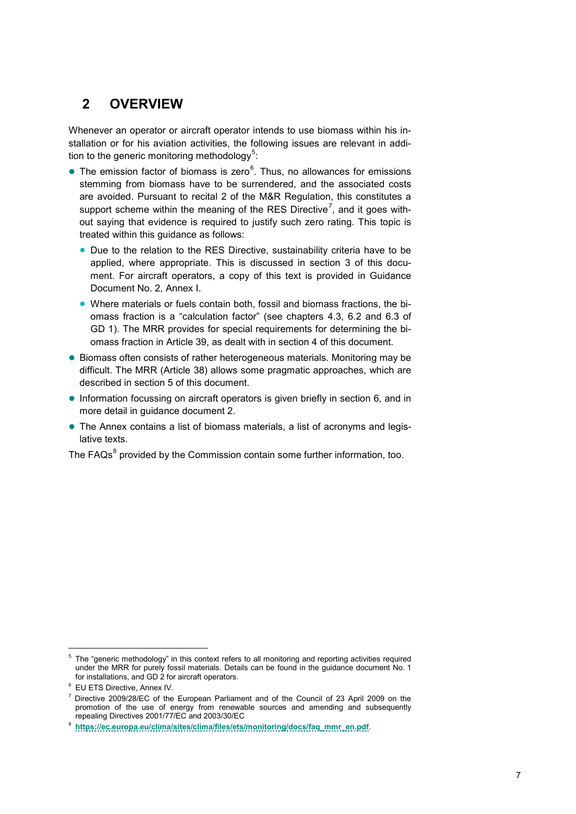## <span id="page-6-0"></span>**2 OVERVIEW**

Whenever an operator or aircraft operator intends to use biomass within his installation or for his aviation activities, the following issues are relevant in addi-tion to the generic monitoring methodology<sup>[5](#page-6-1)</sup>:

- $\bullet$  The emission factor of biomass is zero $\textdegree$ . Thus, no allowances for emissions stemming from biomass have to be surrendered, and the associated costs are avoided. Pursuant to recital 2 of the M&R Regulation, this constitutes a support scheme within the meaning of the RES Directive<sup>[7](#page-6-3)</sup>, and it goes without saying that evidence is required to justify such zero rating. This topic is treated within this guidance as follows:
	- Due to the relation to the RES Directive, sustainability criteria have to be applied, where appropriate. This is discussed in section [3](#page-7-0) of this document. For aircraft operators, a copy of this text is provided in Guidance Document No. 2, Annex I.
	- Where materials or fuels contain both, fossil and biomass fractions, the biomass fraction is a "calculation factor" (see chapters 4.3, 6.2 and 6.3 of GD 1). The MRR provides for special requirements for determining the biomass fraction in Article 39, as dealt with in section [4](#page-13-0) of this document.
- **Biomass often consists of rather heterogeneous materials. Monitoring may be** difficult. The MRR (Article 38) allows some pragmatic approaches, which are described in section [5](#page-16-1) of this document.
- Information focussing on aircraft operators is given briefly in section [6,](#page-18-1) and in more detail in guidance document 2.
- The Annex contains a list of biomass materials, a list of acronyms and legislative texts.

The FAQs<sup>[8](#page-6-4)</sup> provided by the Commission contain some further information, too.

<span id="page-6-1"></span> <sup>5</sup> The "generic methodology" in this context refers to all monitoring and reporting activities required under the MRR for purely fossil materials. Details can be found in the guidance document No. 1 for installations, and GD 2 for aircraft operators.

<span id="page-6-2"></span><sup>6</sup> EU ETS Directive, Annex IV.

<span id="page-6-3"></span> $7$  Directive 2009/28/EC of the European Parliament and of the Council of 23 April 2009 on the promotion of the use of energy from renewable sources and amending and subsequently repealing Directives 2001/77/EC and 2003/30/EC

<span id="page-6-4"></span>repealing Directives 2001/77/EC and 2003/30/EC 8 **[https://ec.europa.eu/clima/sites/clima/files/ets/monitoring/docs/faq\\_mmr\\_en.pdf](https://ec.europa.eu/clima/sites/clima/files/ets/monitoring/docs/faq_mmr_en.pdf)**.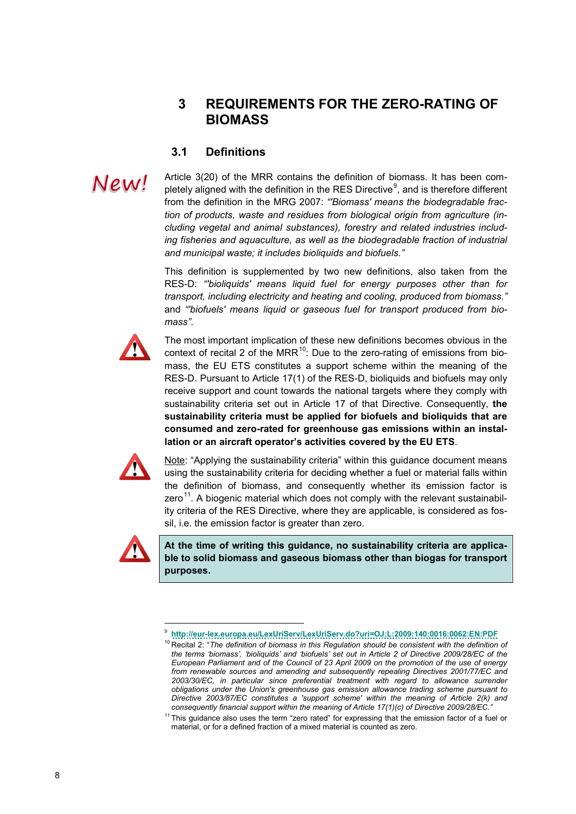## <span id="page-7-0"></span>**3 REQUIREMENTS FOR THE ZERO-RATING OF BIOMASS**

### <span id="page-7-1"></span>**3.1 Definitions**

Article 3(20) of the MRR contains the definition of biomass. It has been com-pletely aligned with the definition in the RES Directive<sup>[9](#page-7-2)</sup>, and is therefore different from the definition in the MRG 2007: *"'Biomass' means the biodegradable fraction of products, waste and residues from biological origin from agriculture (including vegetal and animal substances), forestry and related industries including fisheries and aquaculture, as well as the biodegradable fraction of industrial and municipal waste; it includes bioliquids and biofuels."*

This definition is supplemented by two new definitions, also taken from the RES-D: *"'bioliquids' means liquid fuel for energy purposes other than for transport, including electricity and heating and cooling, produced from biomass."*  and *"'biofuels' means liquid or gaseous fuel for transport produced from biomass"*.



New!

The most important implication of these new definitions becomes obvious in the context of recital 2 of the MRR $^{10}$  $^{10}$  $^{10}$ : Due to the zero-rating of emissions from biomass, the EU ETS constitutes a support scheme within the meaning of the RES-D. Pursuant to Article 17(1) of the RES-D, bioliquids and biofuels may only receive support and count towards the national targets where they comply with sustainability criteria set out in Article 17 of that Directive. Consequently, **the sustainability criteria must be applied for biofuels and bioliquids that are consumed and zero-rated for greenhouse gas emissions within an installation or an aircraft operator's activities covered by the EU ETS**.



Note: "Applying the sustainability criteria" within this guidance document means using the sustainability criteria for deciding whether a fuel or material falls within the definition of biomass, and consequently whether its emission factor is zero<sup>[11](#page-7-4)</sup>. A biogenic material which does not comply with the relevant sustainability criteria of the RES Directive, where they are applicable, is considered as fossil, i.e. the emission factor is greater than zero.

<span id="page-7-3"></span><span id="page-7-2"></span>

j

**At the time of writing this guidance, no sustainability criteria are applicable to solid biomass and gaseous biomass other than biogas for transport purposes.** 

<sup>9</sup> **<http://eur-lex.europa.eu/LexUriServ/LexUriServ.do?uri=OJ:L:2009:140:0016:0062:EN:PDF>**

<sup>&</sup>lt;sup>10</sup> Recital 2: "The definition of biomass in this Regulation should be consistent with the definition of *the terms 'biomass', 'bioliquids' and 'biofuels' set out in Article 2 of Directive 2009/28/EC of the European Parliament and of the Council of 23 April 2009 on the promotion of the use of energy from renewable sources and amending and subsequently repealing Directives 2001/77/EC and 2003/30/EC, in particular since preferential treatment with regard to allowance surrender obligations under the Union's greenhouse gas emission allowance trading scheme pursuant to Directive 2003/87/EC constitutes a 'support scheme' within the meaning of Article 2(k) and consequently financial support within the meaning of Article 17(1)(c) of Directive 2009/28/EC."*

<span id="page-7-4"></span><sup>&</sup>lt;sup>11</sup> This guidance also uses the term "zero rated" for expressing that the emission factor of a fuel or material, or for a defined fraction of a mixed material is counted as zero.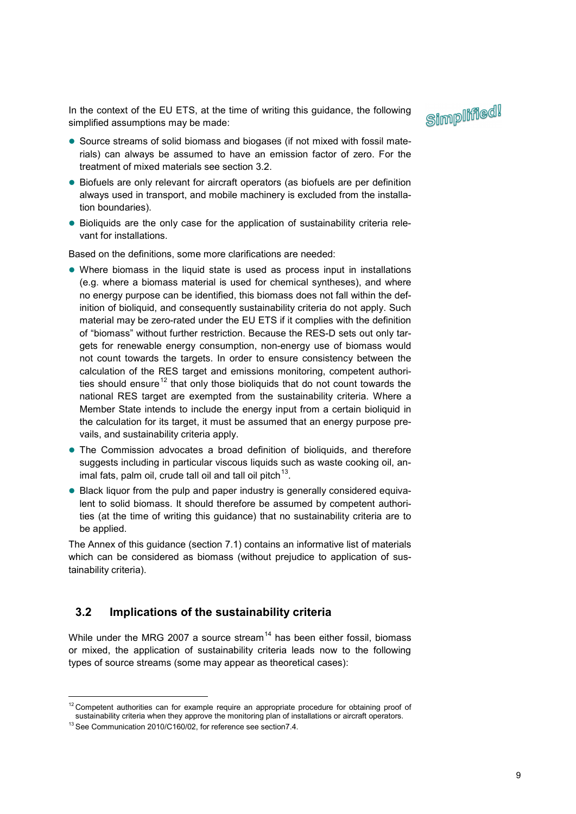In the context of the EU ETS, at the time of writing this guidance, the following simplified assumptions may be made:



- Source streams of solid biomass and biogases (if not mixed with fossil materials) can always be assumed to have an emission factor of zero. For the treatment of mixed materials see section [3.2.](#page-8-0)
- Biofuels are only relevant for aircraft operators (as biofuels are per definition always used in transport, and mobile machinery is excluded from the installation boundaries).
- Bioliquids are the only case for the application of sustainability criteria relevant for installations.

Based on the definitions, some more clarifications are needed:

- Where biomass in the liquid state is used as process input in installations (e.g. where a biomass material is used for chemical syntheses), and where no energy purpose can be identified, this biomass does not fall within the definition of bioliquid, and consequently sustainability criteria do not apply. Such material may be zero-rated under the EU ETS if it complies with the definition of "biomass" without further restriction. Because the RES-D sets out only targets for renewable energy consumption, non-energy use of biomass would not count towards the targets. In order to ensure consistency between the calculation of the RES target and emissions monitoring, competent authori-ties should ensure<sup>[12](#page-8-1)</sup> that only those bioliquids that do not count towards the national RES target are exempted from the sustainability criteria. Where a Member State intends to include the energy input from a certain bioliquid in the calculation for its target, it must be assumed that an energy purpose prevails, and sustainability criteria apply.
- The Commission advocates a broad definition of bioliquids, and therefore suggests including in particular viscous liquids such as waste cooking oil, animal fats, palm oil, crude tall oil and tall oil pitch $13$ .
- Black liquor from the pulp and paper industry is generally considered equivalent to solid biomass. It should therefore be assumed by competent authorities (at the time of writing this guidance) that no sustainability criteria are to be applied.

The Annex of this guidance (section [7.1\)](#page-20-1) contains an informative list of materials which can be considered as biomass (without prejudice to application of sustainability criteria).

#### <span id="page-8-0"></span>**3.2 Implications of the sustainability criteria**

<span id="page-8-3"></span>While under the MRG 2007 a source stream<sup>[14](#page-8-3)</sup> has been either fossil, biomass or mixed, the application of sustainability criteria leads now to the following types of source streams (some may appear as theoretical cases):

-

<span id="page-8-1"></span><sup>&</sup>lt;sup>12</sup> Competent authorities can for example require an appropriate procedure for obtaining proof of sustainability criteria when they approve the monitoring plan of installations or aircraft operators.

<span id="page-8-2"></span><sup>13</sup> See Communication 2010/C160/02, for reference see sectio[n7.4.](#page-24-0)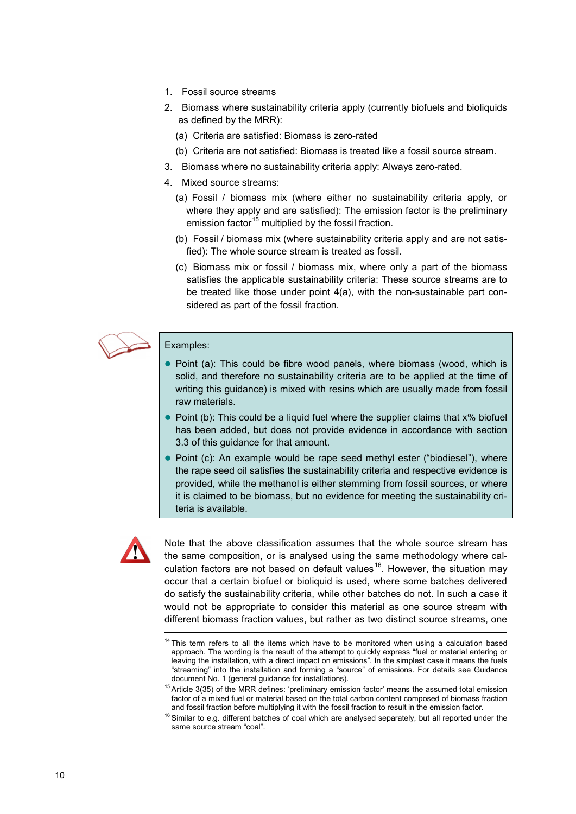- 1. Fossil source streams
- 2. Biomass where sustainability criteria apply (currently biofuels and bioliquids as defined by the MRR):
	- (a) Criteria are satisfied: Biomass is zero-rated
	- (b) Criteria are not satisfied: Biomass is treated like a fossil source stream.
- 3. Biomass where no sustainability criteria apply: Always zero-rated.
- <span id="page-9-0"></span>4. Mixed source streams:
	- (a) Fossil / biomass mix (where either no sustainability criteria apply, or where they apply and are satisfied): The emission factor is the preliminary emission factor<sup>[15](#page-9-1)</sup> multiplied by the fossil fraction.
	- (b) Fossil / biomass mix (where sustainability criteria apply and are not satisfied): The whole source stream is treated as fossil.
	- (c) Biomass mix or fossil / biomass mix, where only a part of the biomass satisfies the applicable sustainability criteria: These source streams are to be treated like those under point [4\(a\),](#page-9-0) with the non-sustainable part considered as part of the fossil fraction.



#### Examples:

- Point (a): This could be fibre wood panels, where biomass (wood, which is solid, and therefore no sustainability criteria are to be applied at the time of writing this guidance) is mixed with resins which are usually made from fossil raw materials.
- $\bullet$  Point (b): This could be a liquid fuel where the supplier claims that  $x\%$  biofuel has been added, but does not provide evidence in accordance with section [3.3](#page-10-0) of this guidance for that amount.
- Point (c): An example would be rape seed methyl ester ("biodiesel"), where the rape seed oil satisfies the sustainability criteria and respective evidence is provided, while the methanol is either stemming from fossil sources, or where it is claimed to be biomass, but no evidence for meeting the sustainability criteria is available.



Note that the above classification assumes that the whole source stream has the same composition, or is analysed using the same methodology where cal-culation factors are not based on default values<sup>[16](#page-9-2)</sup>. However, the situation may occur that a certain biofuel or bioliquid is used, where some batches delivered do satisfy the sustainability criteria, while other batches do not. In such a case it would not be appropriate to consider this material as one source stream with different biomass fraction values, but rather as two distinct source streams, one

<sup>&</sup>lt;sup>14</sup> This term refers to all the items which have to be monitored when using a calculation based approach. The wording is the result of the attempt to quickly express "fuel or material entering or leaving the installation, with a direct impact on emissions". In the simplest case it means the fuels "streaming" into the installation and forming a "source" of emissions. For details see Guidance document No. 1 (general guidance for installations).

<span id="page-9-1"></span><sup>&</sup>lt;sup>15</sup> Article 3(35) of the MRR defines: 'preliminary emission factor' means the assumed total emission factor of a mixed fuel or material based on the total carbon content composed of biomass fraction and fossil fraction before multiplying it with the fossil fraction to result in the emission factor.

<span id="page-9-2"></span> $16$  Similar to e.g. different batches of coal which are analysed separately, but all reported under the same source stream "coal".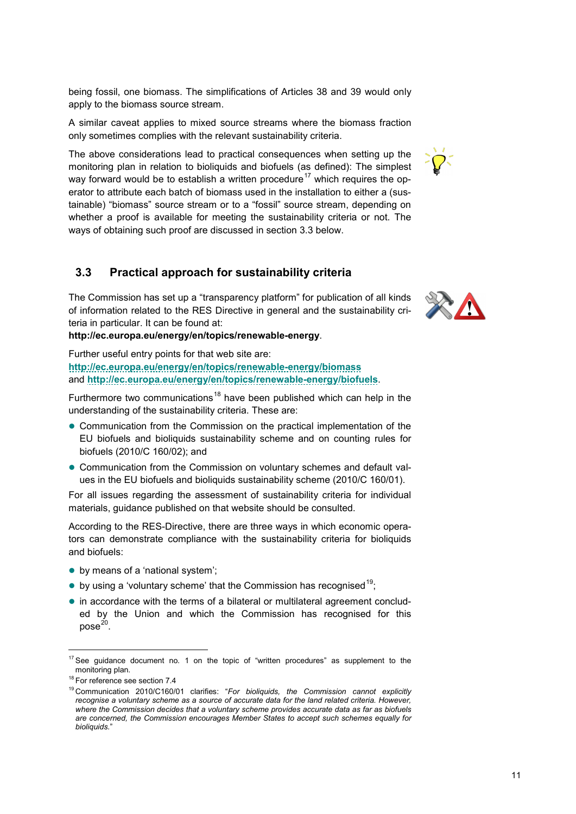being fossil, one biomass. The simplifications of Articles 38 and 39 would only apply to the biomass source stream.

A similar caveat applies to mixed source streams where the biomass fraction only sometimes complies with the relevant sustainability criteria.

The above considerations lead to practical consequences when setting up the monitoring plan in relation to bioliquids and biofuels (as defined): The simplest way forward would be to establish a written procedure<sup>[17](#page-10-1)</sup> which requires the operator to attribute each batch of biomass used in the installation to either a (sustainable) "biomass" source stream or to a "fossil" source stream, depending on whether a proof is available for meeting the sustainability criteria or not. The ways of obtaining such proof are discussed in section [3.3](#page-10-0) below.

## <span id="page-10-0"></span>**3.3 Practical approach for sustainability criteria**

The Commission has set up a "transparency platform" for publication of all kinds of information related to the RES Directive in general and the sustainability criteria in particular. It can be found at:

#### **http://ec.europa.eu/energy/en/topics/renewable-energy**.

Further useful entry points for that web site are: **<http://ec.europa.eu/energy/en/topics/renewable-energy/biomass>** and **<http://ec.europa.eu/energy/en/topics/renewable-energy/biofuels>**.

Furthermore two communications<sup>[18](#page-10-2)</sup> have been published which can help in the understanding of the sustainability criteria. These are:

- Communication from the Commission on the practical implementation of the EU biofuels and bioliquids sustainability scheme and on counting rules for biofuels (2010/C 160/02); and
- Communication from the Commission on voluntary schemes and default values in the EU biofuels and bioliquids sustainability scheme (2010/C 160/01).

For all issues regarding the assessment of sustainability criteria for individual materials, guidance published on that website should be consulted.

According to the RES-Directive, there are three ways in which economic operators can demonstrate compliance with the sustainability criteria for bioliquids and biofuels:

- by means of a 'national system';
- <span id="page-10-5"></span> $\bullet$  by using a 'voluntary scheme' that the Commission has recognised<sup>19</sup>;
- in accordance with the terms of a bilateral or multilateral agreement concluded by the Union and which the Commission has recognised for this  $pose<sup>20</sup>$

-



<span id="page-10-1"></span> $17$  See guidance document no. 1 on the topic of "written procedures" as supplement to the monitoring plan.

<span id="page-10-2"></span><sup>&</sup>lt;sup>18</sup> For reference see section [7.4](#page-24-0)

<span id="page-10-4"></span><span id="page-10-3"></span><sup>19</sup> Communication 2010/C160/01 clarifies: "*For bioliquids, the Commission cannot explicitly recognise a voluntary scheme as a source of accurate data for the land related criteria. However, where the Commission decides that a voluntary scheme provides accurate data as far as biofuels are concerned, the Commission encourages Member States to accept such schemes equally for bioliquids.*"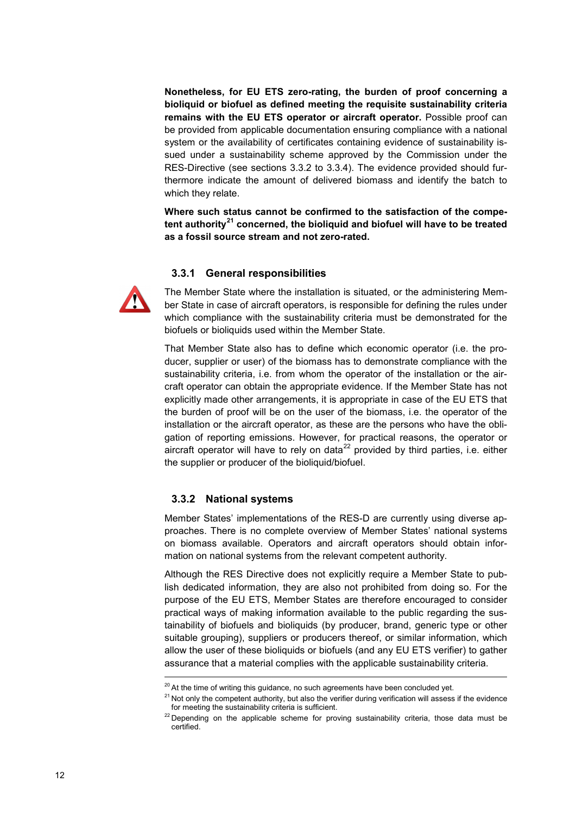**Nonetheless, for EU ETS zero-rating, the burden of proof concerning a bioliquid or biofuel as defined meeting the requisite sustainability criteria remains with the EU ETS operator or aircraft operator.** Possible proof can be provided from applicable documentation ensuring compliance with a national system or the availability of certificates containing evidence of sustainability issued under a sustainability scheme approved by the Commission under the RES-Directive (see sections [3.3.2](#page-11-1) to [3.3.4\)](#page-12-1). The evidence provided should furthermore indicate the amount of delivered biomass and identify the batch to which they relate.

**Where such status cannot be confirmed to the satisfaction of the competent authority[21](#page-11-2) concerned, the bioliquid and biofuel will have to be treated as a fossil source stream and not zero-rated.**

#### <span id="page-11-0"></span>**3.3.1 General responsibilities**



The Member State where the installation is situated, or the administering Member State in case of aircraft operators, is responsible for defining the rules under which compliance with the sustainability criteria must be demonstrated for the biofuels or bioliquids used within the Member State.

That Member State also has to define which economic operator (i.e. the producer, supplier or user) of the biomass has to demonstrate compliance with the sustainability criteria, i.e. from whom the operator of the installation or the aircraft operator can obtain the appropriate evidence. If the Member State has not explicitly made other arrangements, it is appropriate in case of the EU ETS that the burden of proof will be on the user of the biomass, i.e. the operator of the installation or the aircraft operator, as these are the persons who have the obligation of reporting emissions. However, for practical reasons, the operator or aircraft operator will have to rely on data $^{22}$  $^{22}$  $^{22}$  provided by third parties, i.e. either the supplier or producer of the bioliquid/biofuel.

#### <span id="page-11-1"></span>**3.3.2 National systems**

Member States' implementations of the RES-D are currently using diverse approaches. There is no complete overview of Member States' national systems on biomass available. Operators and aircraft operators should obtain information on national systems from the relevant competent authority.

Although the RES Directive does not explicitly require a Member State to publish dedicated information, they are also not prohibited from doing so. For the purpose of the EU ETS, Member States are therefore encouraged to consider practical ways of making information available to the public regarding the sustainability of biofuels and bioliquids (by producer, brand, generic type or other suitable grouping), suppliers or producers thereof, or similar information, which allow the user of these bioliquids or biofuels (and any EU ETS verifier) to gather assurance that a material complies with the applicable sustainability criteria.

<span id="page-11-2"></span> $20$  At the time of writing this guidance, no such agreements have been concluded yet.

<span id="page-11-3"></span> $21$  Not only the competent authority, but also the verifier during verification will assess if the evidence for meeting the sustainability criteria is sufficient.

 $22$  Depending on the applicable scheme for proving sustainability criteria, those data must be certified.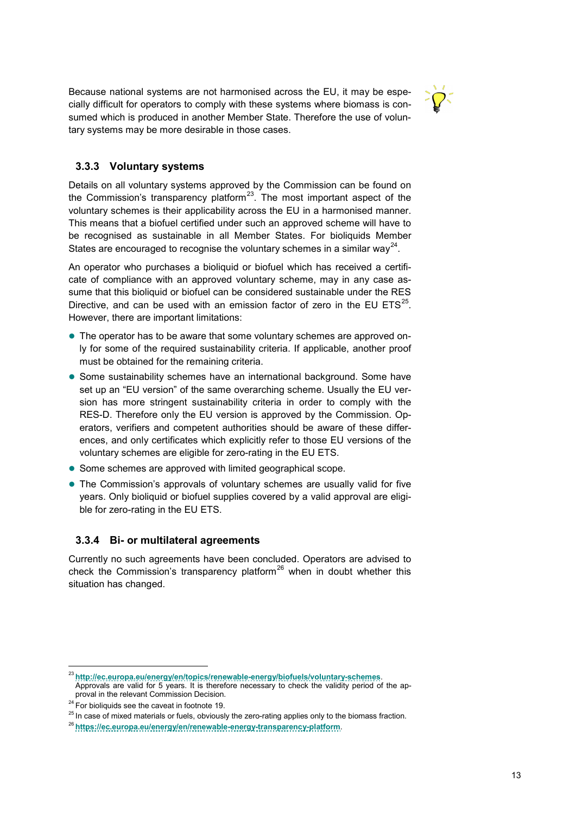Because national systems are not harmonised across the EU, it may be especially difficult for operators to comply with these systems where biomass is consumed which is produced in another Member State. Therefore the use of voluntary systems may be more desirable in those cases.



#### <span id="page-12-0"></span>**3.3.3 Voluntary systems**

Details on all voluntary systems approved by the Commission can be found on the Commission's transparency platform<sup>23</sup>. The most important aspect of the voluntary schemes is their applicability across the EU in a harmonised manner. This means that a biofuel certified under such an approved scheme will have to be recognised as sustainable in all Member States. For bioliquids Member States are encouraged to recognise the voluntary schemes in a similar way<sup>[24](#page-12-3)</sup>.

An operator who purchases a bioliquid or biofuel which has received a certificate of compliance with an approved voluntary scheme, may in any case assume that this bioliquid or biofuel can be considered sustainable under the RES Directive, and can be used with an emission factor of zero in the EU ETS $^{25}$ . However, there are important limitations:

- The operator has to be aware that some voluntary schemes are approved only for some of the required sustainability criteria. If applicable, another proof must be obtained for the remaining criteria.
- Some sustainability schemes have an international background. Some have set up an "EU version" of the same overarching scheme. Usually the EU version has more stringent sustainability criteria in order to comply with the RES-D. Therefore only the EU version is approved by the Commission. Operators, verifiers and competent authorities should be aware of these differences, and only certificates which explicitly refer to those EU versions of the voluntary schemes are eligible for zero-rating in the EU ETS.
- Some schemes are approved with limited geographical scope.
- The Commission's approvals of voluntary schemes are usually valid for five years. Only bioliquid or biofuel supplies covered by a valid approval are eligible for zero-rating in the EU ETS.

#### <span id="page-12-1"></span>**3.3.4 Bi- or multilateral agreements**

Currently no such agreements have been concluded. Operators are advised to check the Commission's transparency platform<sup>[26](#page-12-5)</sup> when in doubt whether this situation has changed.

-

<span id="page-12-2"></span><sup>23</sup> **<http://ec.europa.eu/energy/en/topics/renewable-energy/biofuels/voluntary-schemes>**. Approvals are valid for 5 years. It is therefore necessary to check the validity period of the approval in the relevant Commission Decision.

<span id="page-12-3"></span><sup>&</sup>lt;sup>24</sup> For bioliquids see the caveat in footnot[e 19.](#page-10-5) **25** In case only to the biomass fraction. <sup>25</sup> In case of mixed materials or fuels, obviously the zero-rating applies only to the biomass fraction.

<span id="page-12-5"></span><span id="page-12-4"></span><sup>26</sup> **<https://ec.europa.eu/energy/en/renewable-energy-transparency-platform>**.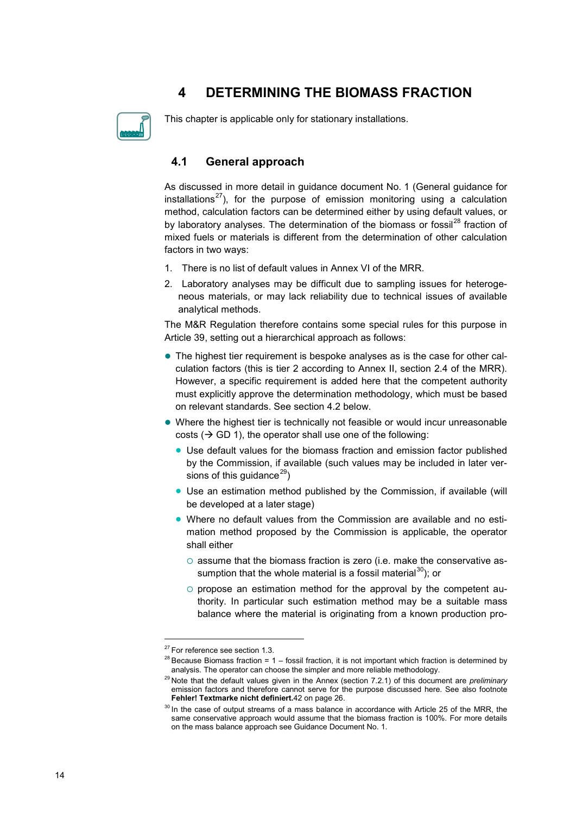# <span id="page-13-0"></span>**4 DETERMINING THE BIOMASS FRACTION**

This chapter is applicable only for stationary installations.

## <span id="page-13-1"></span>**4.1 General approach**

As discussed in more detail in guidance document No. 1 (General guidance for installations<sup>[27](#page-13-2)</sup>), for the purpose of emission monitoring using a calculation method, calculation factors can be determined either by using default values, or by laboratory analyses. The determination of the biomass or fossil $^{28}$  $^{28}$  $^{28}$  fraction of mixed fuels or materials is different from the determination of other calculation factors in two ways:

- 1. There is no list of default values in Annex VI of the MRR.
- 2. Laboratory analyses may be difficult due to sampling issues for heterogeneous materials, or may lack reliability due to technical issues of available analytical methods.

The M&R Regulation therefore contains some special rules for this purpose in Article 39, setting out a hierarchical approach as follows:

- The highest tier requirement is bespoke analyses as is the case for other calculation factors (this is tier 2 according to Annex II, section 2.4 of the MRR). However, a specific requirement is added here that the competent authority must explicitly approve the determination methodology, which must be based on relevant standards. See section [4.2](#page-14-0) below.
- Where the highest tier is technically not feasible or would incur unreasonable costs ( $\rightarrow$  GD 1), the operator shall use one of the following:
	- Use default values for the biomass fraction and emission factor published by the Commission, if available (such values may be included in later versions of this guidance<sup>29</sup>)
	- Use an estimation method published by the Commission, if available (will be developed at a later stage)
	- Where no default values from the Commission are available and no estimation method proposed by the Commission is applicable, the operator shall either
		- $\circ$  assume that the biomass fraction is zero (i.e. make the conservative as-sumption that the whole material is a fossil material<sup>[30](#page-13-5)</sup>); or
		- $\circ$  propose an estimation method for the approval by the competent authority. In particular such estimation method may be a suitable mass balance where the material is originating from a known production pro-

<span id="page-13-2"></span><sup>&</sup>lt;sup>27</sup> For reference see sectio[n 1.3.](#page-4-0)

<span id="page-13-3"></span> $^{28}$  Because Biomass fraction = 1 – fossil fraction, it is not important which fraction is determined by analysis. The operator can choose the simpler and more reliable methodology.

<span id="page-13-4"></span><sup>29</sup> Note that the default values given in the Annex (section [7.2.1\)](#page-22-1) of this document are *preliminary* emission factors and therefore cannot serve for the purpose discussed here. See also footnote **Fehler! Textmarke nicht definiert.**[42](#page-22-2) on pag[e 26.](#page-22-3)

<span id="page-13-5"></span> $30$  In the case of output streams of a mass balance in accordance with Article 25 of the MRR, the same conservative approach would assume that the biomass fraction is 100%. For more details on the mass balance approach see Guidance Document No. 1.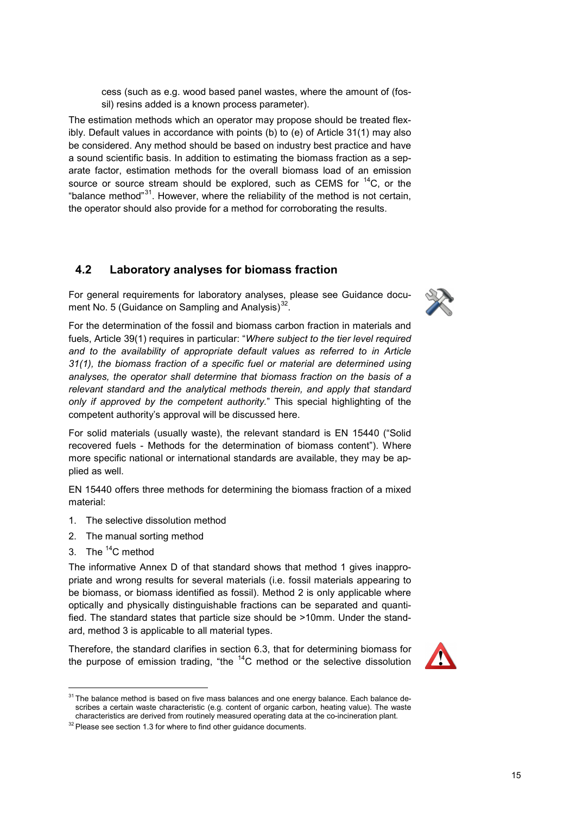cess (such as e.g. wood based panel wastes, where the amount of (fossil) resins added is a known process parameter).

The estimation methods which an operator may propose should be treated flexibly. Default values in accordance with points (b) to (e) of Article 31(1) may also be considered. Any method should be based on industry best practice and have a sound scientific basis. In addition to estimating the biomass fraction as a separate factor, estimation methods for the overall biomass load of an emission source or source stream should be explored, such as CEMS for  ${}^{14}C$ , or the "balance method" $31$ . However, where the reliability of the method is not certain, the operator should also provide for a method for corroborating the results.

## <span id="page-14-0"></span>**4.2 Laboratory analyses for biomass fraction**

For general requirements for laboratory analyses, please see Guidance document No. 5 (Guidance on Sampling and Analysis) $32$ .

For the determination of the fossil and biomass carbon fraction in materials and fuels, Article 39(1) requires in particular: "*Where subject to the tier level required and to the availability of appropriate default values as referred to in Article 31(1), the biomass fraction of a specific fuel or material are determined using analyses, the operator shall determine that biomass fraction on the basis of a relevant standard and the analytical methods therein, and apply that standard only if approved by the competent authority.*" This special highlighting of the competent authority's approval will be discussed here.

For solid materials (usually waste), the relevant standard is EN 15440 ("Solid recovered fuels - Methods for the determination of biomass content"). Where more specific national or international standards are available, they may be applied as well.

EN 15440 offers three methods for determining the biomass fraction of a mixed material:

- 1. The selective dissolution method
- 2. The manual sorting method
- 3. The  ${}^{14}$ C method

-

The informative Annex D of that standard shows that method 1 gives inappropriate and wrong results for several materials (i.e. fossil materials appearing to be biomass, or biomass identified as fossil). Method 2 is only applicable where optically and physically distinguishable fractions can be separated and quantified. The standard states that particle size should be >10mm. Under the standard, method 3 is applicable to all material types.

Therefore, the standard clarifies in section 6.3, that for determining biomass for the purpose of emission trading, "the  $14$ C method or the selective dissolution





<span id="page-14-1"></span> $31$  The balance method is based on five mass balances and one energy balance. Each balance describes a certain waste characteristic (e.g. content of organic carbon, heating value). The waste characteristics are derived from routinely measured operating data at the co-incineration plant.

<span id="page-14-2"></span> $32$  Please see sectio[n 1.3](#page-4-0) for where to find other guidance documents.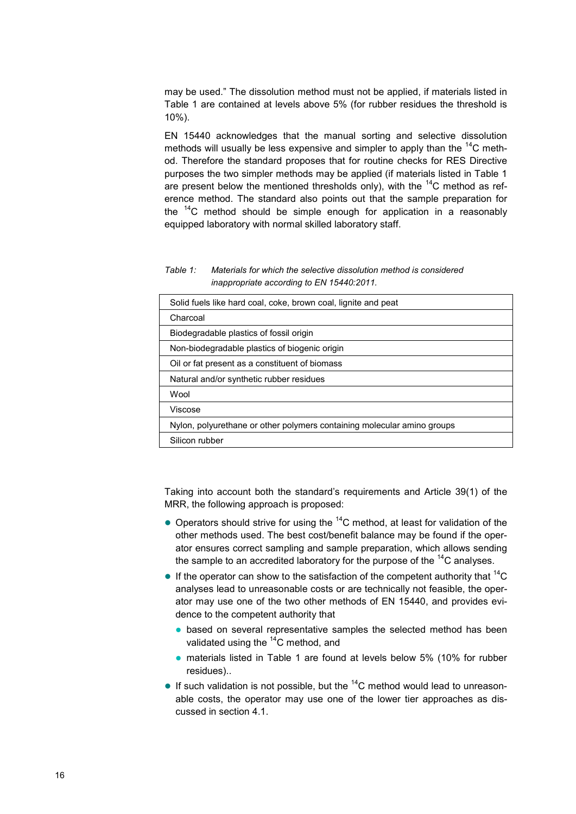may be used." The dissolution method must not be applied, if materials listed in [Table 1](#page-15-0) are contained at levels above 5% (for rubber residues the threshold is 10%).

EN 15440 acknowledges that the manual sorting and selective dissolution methods will usually be less expensive and simpler to apply than the  ${}^{14}C$  method. Therefore the standard proposes that for routine checks for RES Directive purposes the two simpler methods may be applied (if materials listed in [Table 1](#page-15-0) are present below the mentioned thresholds only), with the  $^{14}$ C method as reference method. The standard also points out that the sample preparation for the  $14$ <sup>c</sup> method should be simple enough for application in a reasonably equipped laboratory with normal skilled laboratory staff.

<span id="page-15-0"></span>*Table 1: Materials for which the selective dissolution method is considered inappropriate according to EN 15440:2011.* 

| Solid fuels like hard coal, coke, brown coal, lignite and peat          |
|-------------------------------------------------------------------------|
| Charcoal                                                                |
| Biodegradable plastics of fossil origin                                 |
| Non-biodegradable plastics of biogenic origin                           |
| Oil or fat present as a constituent of biomass                          |
| Natural and/or synthetic rubber residues                                |
| Wool                                                                    |
| Viscose                                                                 |
| Nylon, polyurethane or other polymers containing molecular amino groups |
| Silicon rubber                                                          |

Taking into account both the standard's requirements and Article 39(1) of the MRR, the following approach is proposed:

- $\bullet$  Operators should strive for using the  $^{14}$ C method, at least for validation of the other methods used. The best cost/benefit balance may be found if the operator ensures correct sampling and sample preparation, which allows sending the sample to an accredited laboratory for the purpose of the  ${}^{14}C$  analyses.
- If the operator can show to the satisfaction of the competent authority that  $^{14}C$ analyses lead to unreasonable costs or are technically not feasible, the operator may use one of the two other methods of EN 15440, and provides evidence to the competent authority that
	- **•** based on several representative samples the selected method has been validated using the  $14$ C method, and
	- materials listed in [Table 1](#page-15-0) are found at levels below 5% (10% for rubber residues)..
- If such validation is not possible, but the  $14$ C method would lead to unreasonable costs, the operator may use one of the lower tier approaches as discussed in section [4.1.](#page-13-1)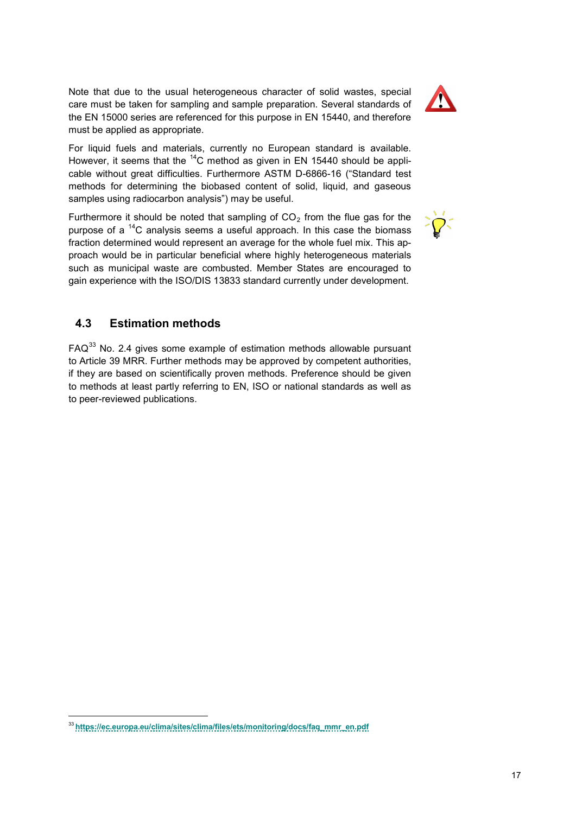Note that due to the usual heterogeneous character of solid wastes, special care must be taken for sampling and sample preparation. Several standards of the EN 15000 series are referenced for this purpose in EN 15440, and therefore must be applied as appropriate.

For liquid fuels and materials, currently no European standard is available. However, it seems that the  $^{14}$ C method as given in EN 15440 should be applicable without great difficulties. Furthermore ASTM D-6866-16 ("Standard test methods for determining the biobased content of solid, liquid, and gaseous samples using radiocarbon analysis") may be useful.

Furthermore it should be noted that sampling of  $CO<sub>2</sub>$  from the flue gas for the purpose of a  $^{14}$ C analysis seems a useful approach. In this case the biomass fraction determined would represent an average for the whole fuel mix. This approach would be in particular beneficial where highly heterogeneous materials such as municipal waste are combusted. Member States are encouraged to gain experience with the ISO/DIS 13833 standard currently under development.

## <span id="page-16-0"></span>**4.3 Estimation methods**

<span id="page-16-1"></span> $FAQ<sup>33</sup>$  $FAQ<sup>33</sup>$  $FAQ<sup>33</sup>$  No. 2.4 gives some example of estimation methods allowable pursuant to Article 39 MRR. Further methods may be approved by competent authorities, if they are based on scientifically proven methods. Preference should be given to methods at least partly referring to EN, ISO or national standards as well as to peer-reviewed publications.





<span id="page-16-2"></span><sup>-</sup><sup>33</sup> **[https://ec.europa.eu/clima/sites/clima/files/ets/monitoring/docs/faq\\_mmr\\_en.pdf](https://ec.europa.eu/clima/sites/clima/files/ets/monitoring/docs/faq_mmr_en.pdf)**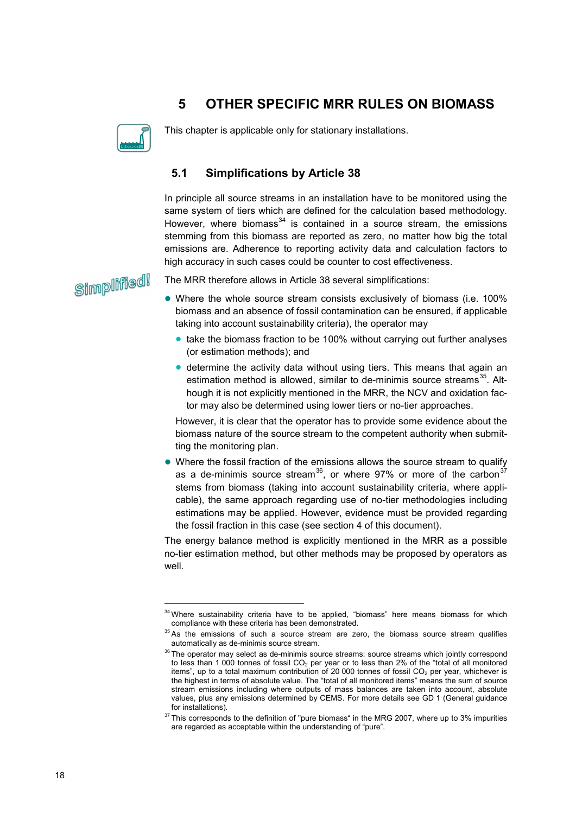## <span id="page-17-0"></span>**5 OTHER SPECIFIC MRR RULES ON BIOMASS**



This chapter is applicable only for stationary installations.

## <span id="page-17-1"></span>**5.1 Simplifications by Article 38**

In principle all source streams in an installation have to be monitored using the same system of tiers which are defined for the calculation based methodology. However, where biomass $34$  is contained in a source stream, the emissions stemming from this biomass are reported as zero, no matter how big the total emissions are. Adherence to reporting activity data and calculation factors to high accuracy in such cases could be counter to cost effectiveness.

Simplified!

j

The MRR therefore allows in Article 38 several simplifications:

- Where the whole source stream consists exclusively of biomass (i.e. 100% biomass and an absence of fossil contamination can be ensured, if applicable taking into account sustainability criteria), the operator may
	- take the biomass fraction to be 100% without carrying out further analyses (or estimation methods); and
	- determine the activity data without using tiers. This means that again an estimation method is allowed, similar to de-minimis source streams<sup>[35](#page-17-3)</sup>. Although it is not explicitly mentioned in the MRR, the NCV and oxidation factor may also be determined using lower tiers or no-tier approaches.

However, it is clear that the operator has to provide some evidence about the biomass nature of the source stream to the competent authority when submitting the monitoring plan.

 Where the fossil fraction of the emissions allows the source stream to qualify as a de-minimis source stream<sup>36</sup>, or where 97% or more of the carbon<sup>[37](#page-17-5)</sup> stems from biomass (taking into account sustainability criteria, where applicable), the same approach regarding use of no-tier methodologies including estimations may be applied. However, evidence must be provided regarding the fossil fraction in this case (see section [4](#page-13-0) of this document).

The energy balance method is explicitly mentioned in the MRR as a possible no-tier estimation method, but other methods may be proposed by operators as well.

<span id="page-17-2"></span><sup>&</sup>lt;sup>34</sup> Where sustainability criteria have to be applied, "biomass" here means biomass for which compliance with these criteria has been demonstrated.

 $35$  As the emissions of such a source stream are zero, the biomass source stream qualifies automatically as de-minimis source stream.

<span id="page-17-4"></span><span id="page-17-3"></span> $36$  The operator may select as de-minimis source streams: source streams which jointly correspond to less than 1 000 tonnes of fossil CO<sub>2</sub> per year or to less than 2% of the "total of all monitored items", up to a total maximum contribution of 20 000 tonnes of fossil  $CO<sub>2</sub>$  per year, whichever is the highest in terms of absolute value. The "total of all monitored items" means the sum of source stream emissions including where outputs of mass balances are taken into account, absolute values, plus any emissions determined by CEMS. For more details see GD 1 (General guidance for installations).

<span id="page-17-5"></span> $37$  This corresponds to the definition of "pure biomass" in the MRG 2007, where up to 3% impurities are regarded as acceptable within the understanding of "pure".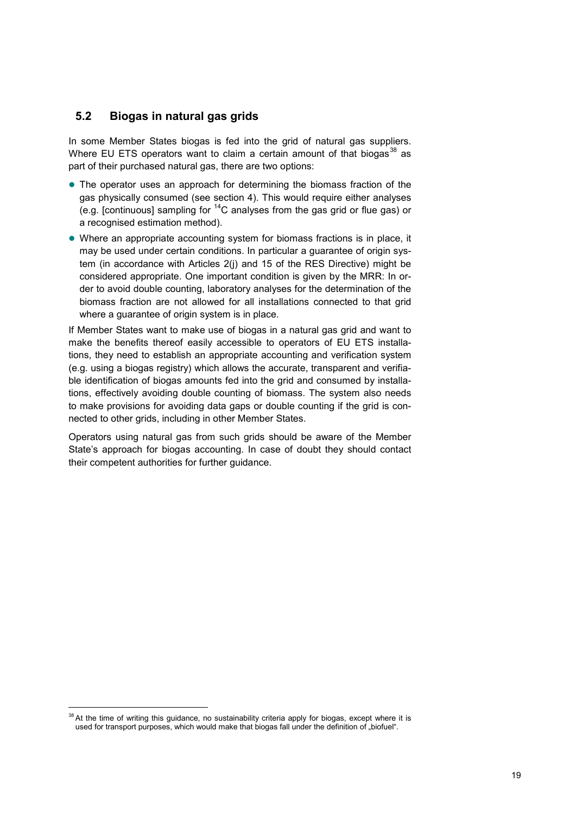#### <span id="page-18-0"></span>**5.2 Biogas in natural gas grids**

In some Member States biogas is fed into the grid of natural gas suppliers. Where EU ETS operators want to claim a certain amount of that biogas<sup>[38](#page-18-2)</sup> as part of their purchased natural gas, there are two options:

- The operator uses an approach for determining the biomass fraction of the gas physically consumed (see section [4\)](#page-13-0). This would require either analyses (e.g. [continuous] sampling for  ${}^{14}$ C analyses from the gas grid or flue gas) or a recognised estimation method).
- Where an appropriate accounting system for biomass fractions is in place, it may be used under certain conditions. In particular a guarantee of origin system (in accordance with Articles 2(j) and 15 of the RES Directive) might be considered appropriate. One important condition is given by the MRR: In order to avoid double counting, laboratory analyses for the determination of the biomass fraction are not allowed for all installations connected to that grid where a guarantee of origin system is in place.

If Member States want to make use of biogas in a natural gas grid and want to make the benefits thereof easily accessible to operators of EU ETS installations, they need to establish an appropriate accounting and verification system (e.g. using a biogas registry) which allows the accurate, transparent and verifiable identification of biogas amounts fed into the grid and consumed by installations, effectively avoiding double counting of biomass. The system also needs to make provisions for avoiding data gaps or double counting if the grid is connected to other grids, including in other Member States.

<span id="page-18-1"></span>Operators using natural gas from such grids should be aware of the Member State's approach for biogas accounting. In case of doubt they should contact their competent authorities for further guidance.

<span id="page-18-2"></span><sup>&</sup>lt;sup>38</sup> At the time of writing this guidance, no sustainability criteria apply for biogas, except where it is used for transport purposes, which would make that biogas fall under the definition of "biofuel".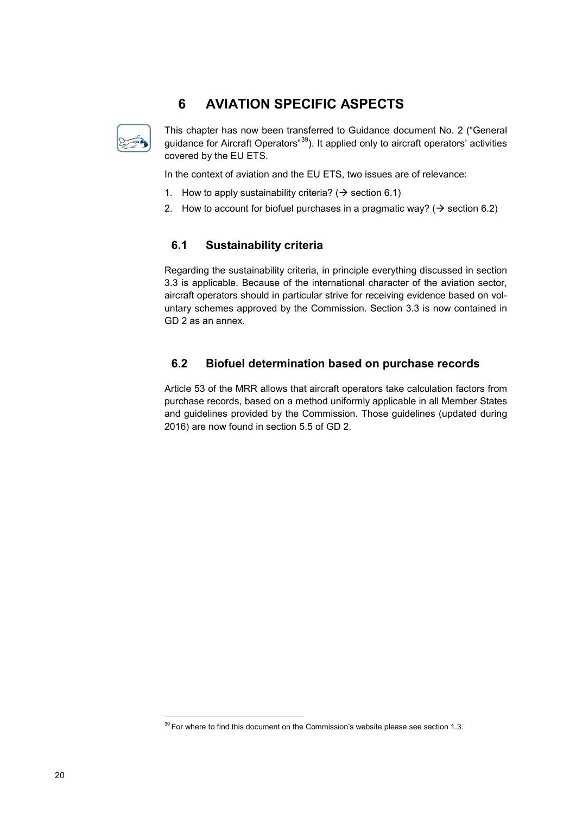# <span id="page-19-0"></span>**6 AVIATION SPECIFIC ASPECTS**



This chapter has now been transferred to Guidance document No. 2 ("General guidance for Aircraft Operators<sup>"39</sup>). It applied only to aircraft operators' activities covered by the EU ETS.

In the context of aviation and the EU ETS, two issues are of relevance:

- 1. How to apply sustainability criteria? ( $\rightarrow$  section [6.1\)](#page-19-1)
- 2. How to account for biofuel purchases in a pragmatic way? ( $\rightarrow$  section [6.2\)](#page-19-2)

#### <span id="page-19-1"></span>**6.1 Sustainability criteria**

Regarding the sustainability criteria, in principle everything discussed in section [3.3](#page-10-0) is applicable. Because of the international character of the aviation sector, aircraft operators should in particular strive for receiving evidence based on voluntary schemes approved by the Commission. Section [3.3](#page-10-0) is now contained in GD 2 as an annex.

#### <span id="page-19-2"></span>**6.2 Biofuel determination based on purchase records**

Article 53 of the MRR allows that aircraft operators take calculation factors from purchase records, based on a method uniformly applicable in all Member States and guidelines provided by the Commission. Those guidelines (updated during 2016) are now found in section 5.5 of GD 2.

<span id="page-19-3"></span> $39$  For where to find this document on the Commission's website please see section [1.3.](#page-4-0)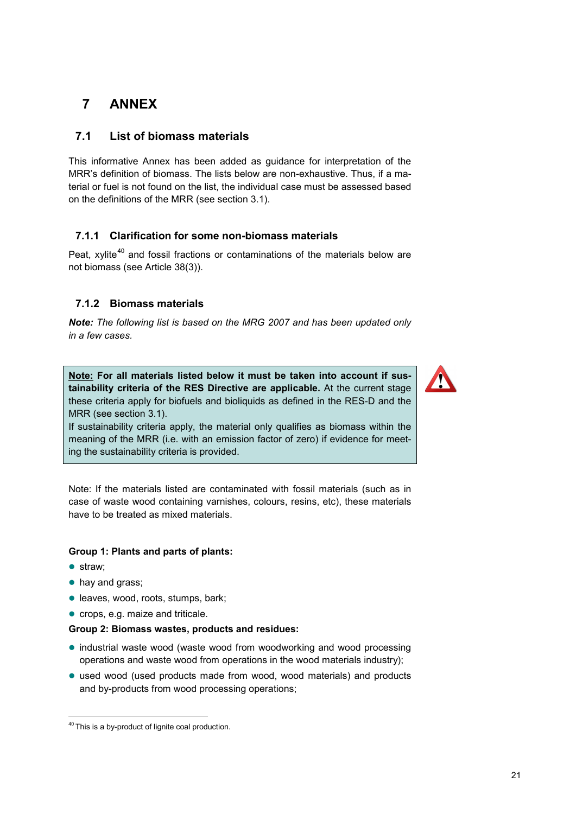# <span id="page-20-0"></span>**7 ANNEX**

## <span id="page-20-1"></span>**7.1 List of biomass materials**

This informative Annex has been added as guidance for interpretation of the MRR's definition of biomass. The lists below are non-exhaustive. Thus, if a material or fuel is not found on the list, the individual case must be assessed based on the definitions of the MRR (see section [3.1\)](#page-7-1).

#### <span id="page-20-2"></span>**7.1.1 Clarification for some non-biomass materials**

Peat, xylite<sup>[40](#page-20-4)</sup> and fossil fractions or contaminations of the materials below are not biomass (see Article 38(3)).

#### <span id="page-20-3"></span>**7.1.2 Biomass materials**

*Note: The following list is based on the MRG 2007 and has been updated only in a few cases.* 

**Note: For all materials listed below it must be taken into account if sustainability criteria of the RES Directive are applicable.** At the current stage these criteria apply for biofuels and bioliquids as defined in the RES-D and the MRR (see section [3.1\)](#page-7-1).

If sustainability criteria apply, the material only qualifies as biomass within the meaning of the MRR (i.e. with an emission factor of zero) if evidence for meeting the sustainability criteria is provided.

Note: If the materials listed are contaminated with fossil materials (such as in case of waste wood containing varnishes, colours, resins, etc), these materials have to be treated as mixed materials.

#### **Group 1: Plants and parts of plants:**

• straw:

-

- hay and grass;
- leaves, wood, roots, stumps, bark;
- crops, e.g. maize and triticale.

#### **Group 2: Biomass wastes, products and residues:**

- industrial waste wood (waste wood from woodworking and wood processing operations and waste wood from operations in the wood materials industry);
- used wood (used products made from wood, wood materials) and products and by-products from wood processing operations;



<span id="page-20-4"></span><sup>&</sup>lt;sup>40</sup> This is a by-product of lignite coal production.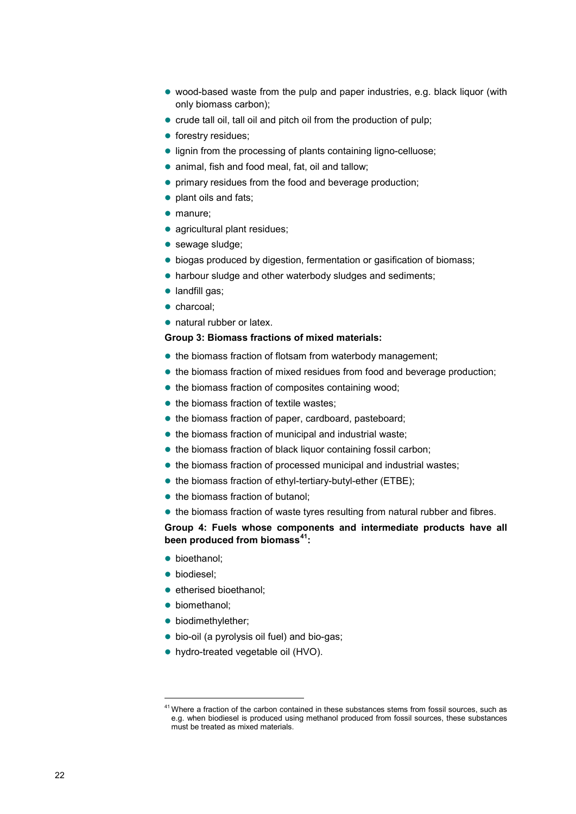- wood-based waste from the pulp and paper industries, e.g. black liquor (with only biomass carbon);
- crude tall oil, tall oil and pitch oil from the production of pulp;
- **•** forestry residues;
- **.** lignin from the processing of plants containing ligno-celluose;
- animal, fish and food meal, fat, oil and tallow;
- **•** primary residues from the food and beverage production;
- plant oils and fats;
- manure;
- agricultural plant residues;
- sewage sludge;
- biogas produced by digestion, fermentation or gasification of biomass;
- harbour sludge and other waterbody sludges and sediments;
- landfill gas;
- charcoal:
- natural rubber or latex.

#### **Group 3: Biomass fractions of mixed materials:**

- the biomass fraction of flotsam from waterbody management;
- the biomass fraction of mixed residues from food and beverage production;
- the biomass fraction of composites containing wood;
- $\bullet$  the biomass fraction of textile wastes;
- the biomass fraction of paper, cardboard, pasteboard;
- the biomass fraction of municipal and industrial waste;
- $\bullet$  the biomass fraction of black liquor containing fossil carbon;
- the biomass fraction of processed municipal and industrial wastes;
- the biomass fraction of ethyl-tertiary-butyl-ether (ETBE);
- the biomass fraction of butanol;
- the biomass fraction of waste tyres resulting from natural rubber and fibres.

**Group 4: Fuels whose components and intermediate products have all been produced from biomass[41:](#page-21-0)**

- **·** bioethanol;
- **·** biodiesel;
- etherised bioethanol:
- **·** biomethanol;
- biodimethylether:
- bio-oil (a pyrolysis oil fuel) and bio-gas;
- hydro-treated vegetable oil (HVO).

<span id="page-21-0"></span> $41$  Where a fraction of the carbon contained in these substances stems from fossil sources, such as e.g. when biodiesel is produced using methanol produced from fossil sources, these substances must be treated as mixed materials.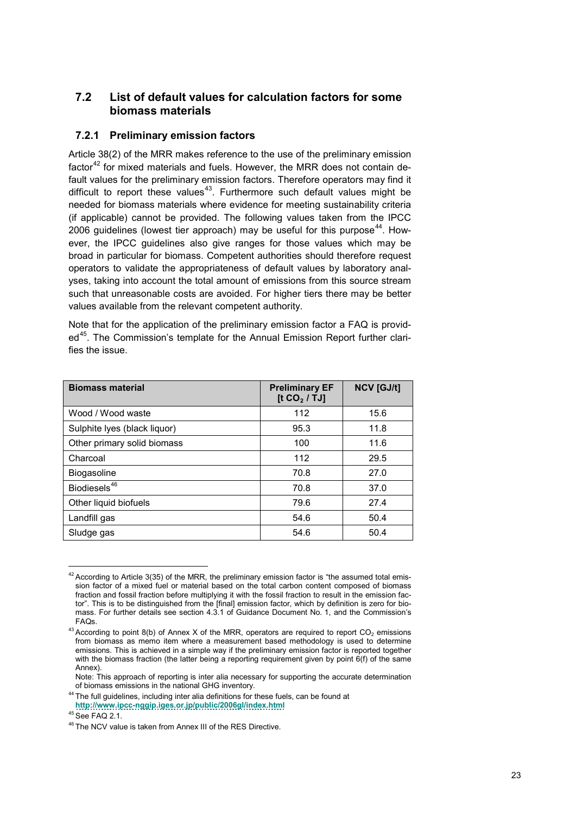### <span id="page-22-0"></span>**7.2 List of default values for calculation factors for some biomass materials**

#### <span id="page-22-1"></span>**7.2.1 Preliminary emission factors**

<span id="page-22-2"></span>Article 38(2) of the MRR makes reference to the use of the preliminary emission factor<sup>[42](#page-22-4)</sup> for mixed materials and fuels. However, the MRR does not contain default values for the preliminary emission factors. Therefore operators may find it difficult to report these values<sup>[43](#page-22-5)</sup>. Furthermore such default values might be needed for biomass materials where evidence for meeting sustainability criteria (if applicable) cannot be provided. The following values taken from the IPCC 2006 quidelines (lowest tier approach) may be useful for this purpose<sup>[44](#page-22-6)</sup>. However, the IPCC guidelines also give ranges for those values which may be broad in particular for biomass. Competent authorities should therefore request operators to validate the appropriateness of default values by laboratory analyses, taking into account the total amount of emissions from this source stream such that unreasonable costs are avoided. For higher tiers there may be better values available from the relevant competent authority.

Note that for the application of the preliminary emission factor a FAQ is provided<sup>45</sup>. The Commission's template for the Annual Emission Report further clarifies the issue.

| <b>Biomass material</b>      | <b>Preliminary EF</b><br>[t $CO2$ / TJ] | <b>NCV [GJ/t]</b> |
|------------------------------|-----------------------------------------|-------------------|
| Wood / Wood waste            | 112                                     | 15.6              |
| Sulphite Iyes (black liquor) | 95.3                                    | 11.8              |
| Other primary solid biomass  | 100                                     | 11.6              |
| Charcoal                     | 112                                     | 29.5              |
| Biogasoline                  | 70.8                                    | 27.0              |
| Biodiesels <sup>46</sup>     | 70.8                                    | 37.0              |
| Other liquid biofuels        | 79.6                                    | 27.4              |
| Landfill gas                 | 54.6                                    | 50.4              |
| Sludge gas                   | 54.6                                    | 50.4              |

<span id="page-22-4"></span><span id="page-22-3"></span> $42$  According to Article 3(35) of the MRR, the preliminary emission factor is "the assumed total emission factor of a mixed fuel or material based on the total carbon content composed of biomass fraction and fossil fraction before multiplying it with the fossil fraction to result in the emission factor". This is to be distinguished from the [final] emission factor, which by definition is zero for biomass. For further details see section 4.3.1 of Guidance Document No. 1, and the Commission's FAQs.

<span id="page-22-5"></span> $43$  According to point 8(b) of Annex X of the MRR, operators are required to report CO<sub>2</sub> emissions from biomass as memo item where a measurement based methodology is used to determine emissions. This is achieved in a simple way if the preliminary emission factor is reported together with the biomass fraction (the latter being a reporting requirement given by point 6(f) of the same Annex).

Note: This approach of reporting is inter alia necessary for supporting the accurate determination of biomass emissions in the national GHG inventory.

<span id="page-22-6"></span><sup>44</sup> The full guidelines, including inter alia definitions for these fuels, can be found at **<http://www.ipcc-nggip.iges.or.jp/public/2006gl/index.html>**

<sup>45</sup> See FAQ 2.1.

<span id="page-22-8"></span><span id="page-22-7"></span><sup>46</sup> The NCV value is taken from Annex III of the RES Directive.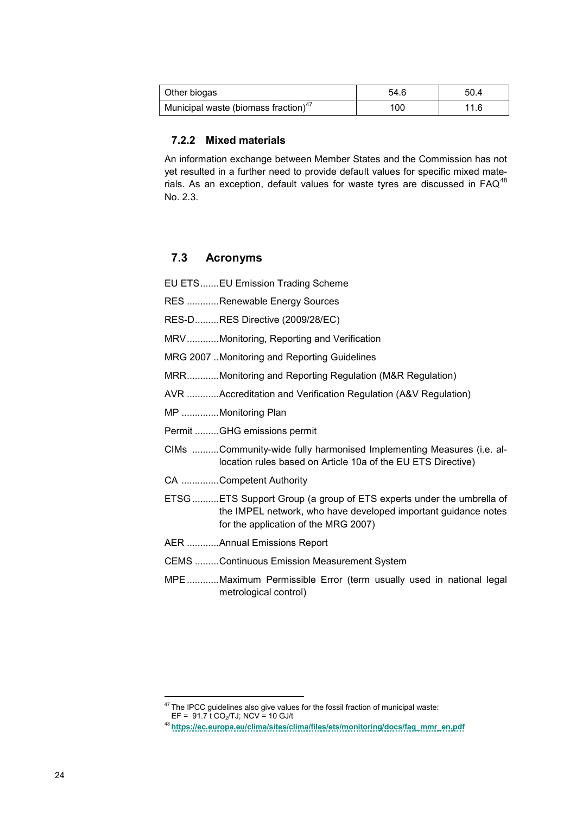| Other biogas                                     | 54.6 | 50.4 |
|--------------------------------------------------|------|------|
| Municipal waste (biomass fraction) <sup>47</sup> | 100  | 11.6 |

#### <span id="page-23-0"></span>**7.2.2 Mixed materials**

An information exchange between Member States and the Commission has not yet resulted in a further need to provide default values for specific mixed materials. As an exception, default values for waste tyres are discussed in  $\mathsf{FAQ}^{48}$  $\mathsf{FAQ}^{48}$  $\mathsf{FAQ}^{48}$ No. 2.3.

## <span id="page-23-1"></span>**7.3 Acronyms**

| EU ETSEU Emission Trading Scheme                                                                                                                                                |
|---------------------------------------------------------------------------------------------------------------------------------------------------------------------------------|
| RES Renewable Energy Sources                                                                                                                                                    |
| RES-DRES Directive (2009/28/EC)                                                                                                                                                 |
| MRVMonitoring, Reporting and Verification                                                                                                                                       |
| MRG 2007 Monitoring and Reporting Guidelines                                                                                                                                    |
| MRRMonitoring and Reporting Regulation (M&R Regulation)                                                                                                                         |
| AVR Accreditation and Verification Regulation (A&V Regulation)                                                                                                                  |
| MP Monitoring Plan                                                                                                                                                              |
| Permit GHG emissions permit                                                                                                                                                     |
| CIMs Community-wide fully harmonised Implementing Measures (i.e. al-<br>location rules based on Article 10a of the EU ETS Directive)                                            |
| CA Competent Authority                                                                                                                                                          |
| ETSG  ETS Support Group (a group of ETS experts under the umbrella of<br>the IMPEL network, who have developed important guidance notes<br>for the application of the MRG 2007) |
| AER Annual Emissions Report                                                                                                                                                     |
| <b>CEMS Continuous Emission Measurement System</b>                                                                                                                              |
| MPEMaximum Permissible Error (term usually used in national legal<br>metrological control)                                                                                      |

<span id="page-23-2"></span>The IPCC guidelines also give values for the fossil fraction of municipal waste:

EF = 91.7 t CO2/TJ; NCV = 10 GJ/t

<span id="page-23-4"></span><span id="page-23-3"></span><sup>48</sup> **[https://ec.europa.eu/clima/sites/clima/files/ets/monitoring/docs/faq\\_mmr\\_en.pdf](https://ec.europa.eu/clima/sites/clima/files/ets/monitoring/docs/faq_mmr_en.pdf)**